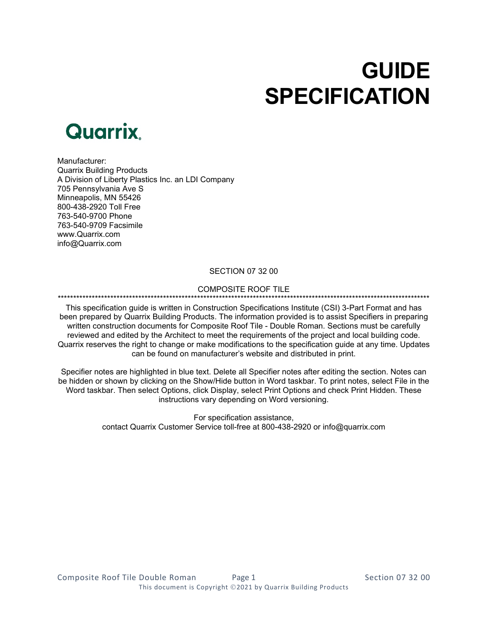# **GUIDE SPECIFICATION**



Manufacturer: Quarrix Building Products A Division of Liberty Plastics Inc. an LDI Company 705 Pennsylvania Ave S Minneapolis, MN 55426 800-438-2920 Toll Free 763-540-9700 Phone 763-540-9709 Facsimile [www.Quarrix.com](http://www.quarrix.com/) info@Quarrix.com

#### SECTION 07 32 00

## COMPOSITE ROOF TILE

# \*\*\*\*\*\*\*\*\*\*\*\*\*\*\*\*\*\*\*\*\*\*\*\*\*\*\*\*\*\*\*\*\*\*\*\*\*\*\*\*\*\*\*\*\*\*\*\*\*\*\*\*\*\*\*\*\*\*\*\*\*\*\*\*\*\*\*\*\*\*\*\*\*\*\*\*\*\*\*\*\*\*\*\*\*\*\*\*\*\*\*\*\*\*\*\*\*\*\*\*\*\*\*\*\*\*\*\*\*\*\*\*\*\*\*\*\*\*\*\*

This specification guide is written in Construction Specifications Institute (CSI) 3-Part Format and has been prepared by Quarrix Building Products. The information provided is to assist Specifiers in preparing written construction documents for Composite Roof Tile - Double Roman. Sections must be carefully reviewed and edited by the Architect to meet the requirements of the project and local building code. Quarrix reserves the right to change or make modifications to the specification guide at any time. Updates can be found on manufacturer's website and distributed in print.

Specifier notes are highlighted in blue text. Delete all Specifier notes after editing the section. Notes can be hidden or shown by clicking on the Show/Hide button in Word taskbar. To print notes, select File in the Word taskbar. Then select Options, click Display, select Print Options and check Print Hidden. These instructions vary depending on Word versioning.

> For specification assistance, contact Quarrix Customer Service toll-free at 800-438-2920 or info@quarrix.com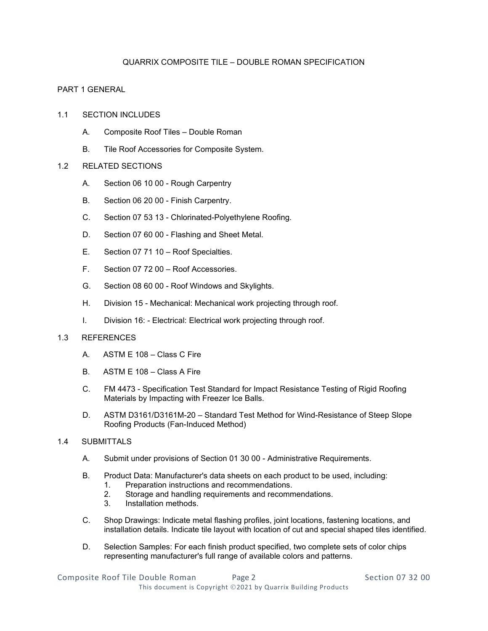# QUARRIX COMPOSITE TILE – DOUBLE ROMAN SPECIFICATION

# PART 1 GENERAL

- 1.1 SECTION INCLUDES
	- A. Composite Roof Tiles Double Roman
	- B. Tile Roof Accessories for Composite System.

## 1.2 RELATED SECTIONS

- A. Section 06 10 00 Rough Carpentry
- B. Section 06 20 00 Finish Carpentry.
- C. Section 07 53 13 Chlorinated-Polyethylene Roofing.
- D. Section 07 60 00 Flashing and Sheet Metal.
- E. Section 07 71 10 Roof Specialties.
- F. Section 07 72 00 Roof Accessories.
- G. Section 08 60 00 Roof Windows and Skylights.
- H. Division 15 Mechanical: Mechanical work projecting through roof.
- I. Division 16: Electrical: Electrical work projecting through roof.

#### 1.3 REFERENCES

- A. ASTM E 108 Class C Fire
- B. ASTM E 108 Class A Fire
- C. FM 4473 Specification Test Standard for Impact Resistance Testing of Rigid Roofing Materials by Impacting with Freezer Ice Balls.
- D. ASTM D3161/D3161M-20 Standard Test Method for Wind-Resistance of Steep Slope Roofing Products (Fan-Induced Method)

#### 1.4 SUBMITTALS

- A. Submit under provisions of Section 01 30 00 Administrative Requirements.
- B. Product Data: Manufacturer's data sheets on each product to be used, including:
	- 1. Preparation instructions and recommendations.
	- 2. Storage and handling requirements and recommendations.
	- 3. Installation methods.
- C. Shop Drawings: Indicate metal flashing profiles, joint locations, fastening locations, and installation details. Indicate tile layout with location of cut and special shaped tiles identified.
- D. Selection Samples: For each finish product specified, two complete sets of color chips representing manufacturer's full range of available colors and patterns.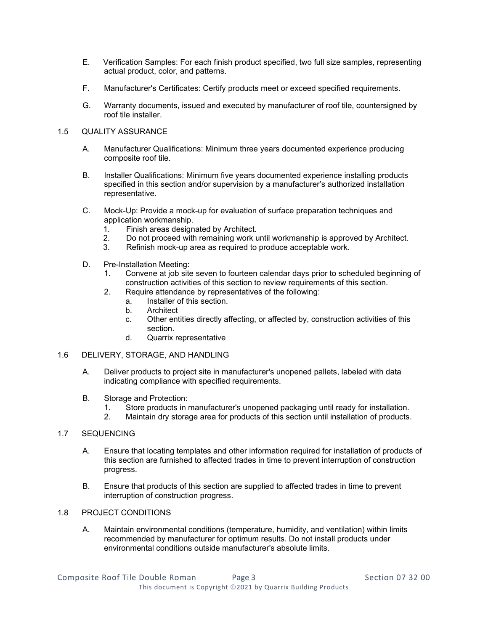- E. Verification Samples: For each finish product specified, two full size samples, representing actual product, color, and patterns.
- F. Manufacturer's Certificates: Certify products meet or exceed specified requirements.
- G. Warranty documents, issued and executed by manufacturer of roof tile, countersigned by roof tile installer.

## 1.5 QUALITY ASSURANCE

- A. Manufacturer Qualifications: Minimum three years documented experience producing composite roof tile.
- B. Installer Qualifications: Minimum five years documented experience installing products specified in this section and/or supervision by a manufacturer's authorized installation representative.
- C. Mock-Up: Provide a mock-up for evaluation of surface preparation techniques and application workmanship.
	- 1. Finish areas designated by Architect.<br>2. Do not proceed with remaining work u
	- 2. Do not proceed with remaining work until workmanship is approved by Architect.<br>3. Refinish mock-up area as required to produce acceptable work.
	- Refinish mock-up area as required to produce acceptable work.
- D. Pre-Installation Meeting:
	- 1. Convene at job site seven to fourteen calendar days prior to scheduled beginning of construction activities of this section to review requirements of this section.
	- 2. Require attendance by representatives of the following:
		- a. Installer of this section.
		- b. Architect
		- c. Other entities directly affecting, or affected by, construction activities of this section.
		- d. Quarrix representative

#### 1.6 DELIVERY, STORAGE, AND HANDLING

- A. Deliver products to project site in manufacturer's unopened pallets, labeled with data indicating compliance with specified requirements.
- B. Storage and Protection:
	- 1. Store products in manufacturer's unopened packaging until ready for installation.
	- 2. Maintain dry storage area for products of this section until installation of products.

# 1.7 SEQUENCING

- A. Ensure that locating templates and other information required for installation of products of this section are furnished to affected trades in time to prevent interruption of construction progress.
- B. Ensure that products of this section are supplied to affected trades in time to prevent interruption of construction progress.

# 1.8 PROJECT CONDITIONS

A. Maintain environmental conditions (temperature, humidity, and ventilation) within limits recommended by manufacturer for optimum results. Do not install products under environmental conditions outside manufacturer's absolute limits.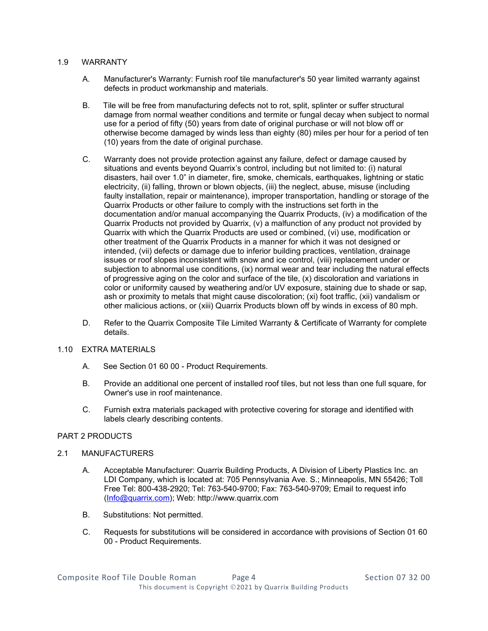## 1.9 WARRANTY

- A. Manufacturer's Warranty: Furnish roof tile manufacturer's 50 year limited warranty against defects in product workmanship and materials.
- B. Tile will be free from manufacturing defects not to rot, split, splinter or suffer structural damage from normal weather conditions and termite or fungal decay when subject to normal use for a period of fifty (50) years from date of original purchase or will not blow off or otherwise become damaged by winds less than eighty (80) miles per hour for a period of ten (10) years from the date of original purchase.
- C. Warranty does not provide protection against any failure, defect or damage caused by situations and events beyond Quarrix's control, including but not limited to: (i) natural disasters, hail over 1.0" in diameter, fire, smoke, chemicals, earthquakes, lightning or static electricity, (ii) falling, thrown or blown objects, (iii) the neglect, abuse, misuse (including faulty installation, repair or maintenance), improper transportation, handling or storage of the Quarrix Products or other failure to comply with the instructions set forth in the documentation and/or manual accompanying the Quarrix Products, (iv) a modification of the Quarrix Products not provided by Quarrix, (v) a malfunction of any product not provided by Quarrix with which the Quarrix Products are used or combined, (vi) use, modification or other treatment of the Quarrix Products in a manner for which it was not designed or intended, (vii) defects or damage due to inferior building practices, ventilation, drainage issues or roof slopes inconsistent with snow and ice control, (viii) replacement under or subjection to abnormal use conditions, (ix) normal wear and tear including the natural effects of progressive aging on the color and surface of the tile, (x) discoloration and variations in color or uniformity caused by weathering and/or UV exposure, staining due to shade or sap, ash or proximity to metals that might cause discoloration; (xi) foot traffic, (xii) vandalism or other malicious actions, or (xiii) Quarrix Products blown off by winds in excess of 80 mph.
- D. Refer to the Quarrix Composite Tile Limited Warranty & Certificate of Warranty for complete details.

#### 1.10 EXTRA MATERIALS

- A. See Section 01 60 00 Product Requirements.
- B. Provide an additional one percent of installed roof tiles, but not less than one full square, for Owner's use in roof maintenance.
- C. Furnish extra materials packaged with protective covering for storage and identified with labels clearly describing contents.

#### PART 2 PRODUCTS

#### 2.1 MANUFACTURERS

- A. Acceptable Manufacturer: Quarrix Building Products, A Division of Liberty Plastics Inc. an LDI Company, which is located at: 705 Pennsylvania Ave. S.; Minneapolis, MN 55426; Toll Free Tel: 800-438-2920; Tel: 763-540-9700; Fax: 763-540-9709; Email to request info [\(Info@quarrix.com\)](mailto:Info@quarrix.com); Web: http://www.quarrix.com
- B. Substitutions: Not permitted.
- C. Requests for substitutions will be considered in accordance with provisions of Section 01 60 00 - Product Requirements.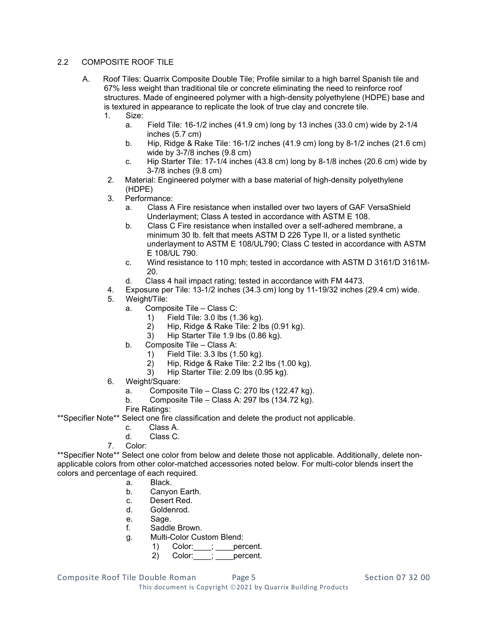# 2.2 COMPOSITE ROOF TILE

- A. Roof Tiles: Quarrix Composite Double Tile; Profile similar to a high barrel Spanish tile and 67% less weight than traditional tile or concrete eliminating the need to reinforce roof structures. Made of engineered polymer with a high-density polyethylene (HDPE) base and is textured in appearance to replicate the look of true clay and concrete tile.
	- 1. Size:
		- a. Field Tile: 16-1/2 inches (41.9 cm) long by 13 inches (33.0 cm) wide by 2-1/4 inches (5.7 cm)
		- b. Hip, Ridge & Rake Tile: 16-1/2 inches (41.9 cm) long by 8-1/2 inches (21.6 cm) wide by 3-7/8 inches (9.8 cm)
		- c. Hip Starter Tile: 17-1/4 inches (43.8 cm) long by 8-1/8 inches (20.6 cm) wide by 3-7/8 inches (9.8 cm)
	- 2. Material: Engineered polymer with a base material of high-density polyethylene (HDPE)
	- 3. Performance:
		- a. Class A Fire resistance when installed over two layers of GAF VersaShield Underlayment; Class A tested in accordance with ASTM E 108.
		- b. Class C Fire resistance when installed over a self-adhered membrane, a minimum 30 lb. felt that meets ASTM D 226 Type II, or a listed synthetic underlayment to ASTM E 108/UL790; Class C tested in accordance with ASTM E 108/UL 790.
		- c. Wind resistance to 110 mph; tested in accordance with ASTM D 3161/D 3161M-20.
		- d. Class 4 hail impact rating; tested in accordance with FM 4473.
	- 4. Exposure per Tile: 13-1/2 inches (34.3 cm) long by 11-19/32 inches (29.4 cm) wide.
	- 5. Weight/Tile:
		- a. Composite Tile Class C:
			- 1) Field Tile: 3.0 lbs (1.36 kg).
			- 2) Hip, Ridge & Rake Tile: 2 lbs (0.91 kg).
			- 3) Hip Starter Tile 1.9 lbs (0.86 kg).
		- b. Composite Tile Class A:
			- 1) Field Tile: 3.3 lbs (1.50 kg).
			- 2) Hip, Ridge & Rake Tile: 2.2 lbs (1.00 kg).
			- 3) Hip Starter Tile: 2.09 lbs (0.95 kg).
	- 6. Weight/Square:
		- a. Composite Tile Class C: 270 lbs (122.47 kg).
		- b. Composite Tile Class A: 297 lbs (134.72 kg).
		- Fire Ratings:
- \*\*Specifier Note\*\* Select one fire classification and delete the product not applicable.
	- c. Class A.
	- d. Class C.
	- 7. Color:

\*\*Specifier Note\*\* Select one color from below and delete those not applicable. Additionally, delete nonapplicable colors from other color-matched accessories noted below. For multi-color blends insert the colors and percentage of each required.

- a. Black.<br>b. Canyo
- Canyon Earth.
- c. Desert Red.
- d. Goldenrod.
- e. Sage.
- f. Saddle Brown.
- g. Multi-Color Custom Blend:
	- 1) Color: \_\_\_\_; \_\_\_\_ percent.
		- 2) Color: ; percent.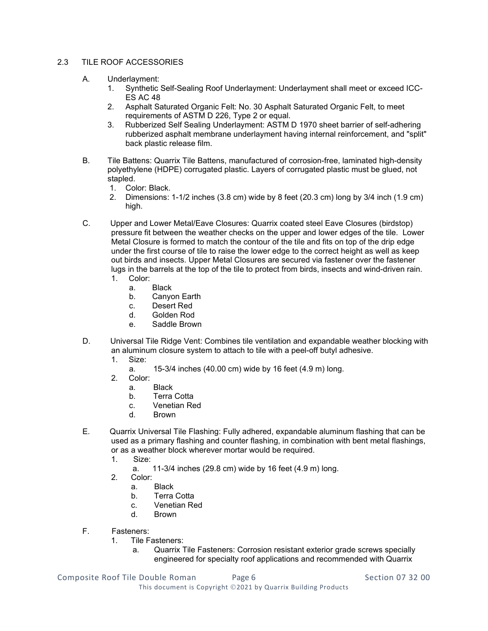# 2.3 TILE ROOF ACCESSORIES

- A. Underlayment:
	- 1. Synthetic Self-Sealing Roof Underlayment: Underlayment shall meet or exceed ICC-ES AC 48
	- 2. Asphalt Saturated Organic Felt: No. 30 Asphalt Saturated Organic Felt, to meet requirements of ASTM D 226, Type 2 or equal.
	- 3. Rubberized Self Sealing Underlayment: ASTM D 1970 sheet barrier of self-adhering rubberized asphalt membrane underlayment having internal reinforcement, and "split" back plastic release film.
- B. Tile Battens: Quarrix Tile Battens, manufactured of corrosion-free, laminated high-density polyethylene (HDPE) corrugated plastic. Layers of corrugated plastic must be glued, not stapled.
	- 1. Color: Black.
	- 2. Dimensions: 1-1/2 inches (3.8 cm) wide by 8 feet (20.3 cm) long by 3/4 inch (1.9 cm) high.
- C. Upper and Lower Metal/Eave Closures: Quarrix coated steel Eave Closures (birdstop) pressure fit between the weather checks on the upper and lower edges of the tile. Lower Metal Closure is formed to match the contour of the tile and fits on top of the drip edge under the first course of tile to raise the lower edge to the correct height as well as keep out birds and insects. Upper Metal Closures are secured via fastener over the fastener lugs in the barrels at the top of the tile to protect from birds, insects and wind-driven rain. 1. Color:
	- a. Black
	- b. Canyon Earth
	- c. Desert Red
	- d. Golden Rod
	- e. Saddle Brown
- D. Universal Tile Ridge Vent: Combines tile ventilation and expandable weather blocking with an aluminum closure system to attach to tile with a peel-off butyl adhesive.
	- 1. Size:
		- a. 15-3/4 inches (40.00 cm) wide by 16 feet (4.9 m) long.
	- 2. Color:
		- a. Black
		- b. Terra Cotta
		- c. Venetian Red
		- d. Brown
- E. Quarrix Universal Tile Flashing: Fully adhered, expandable aluminum flashing that can be used as a primary flashing and counter flashing, in combination with bent metal flashings, or as a weather block wherever mortar would be required.<br>1 Size:
	- Size:
		- a. 11-3/4 inches (29.8 cm) wide by 16 feet (4.9 m) long.
	- 2. Color:
		- a. Black
		- b. Terra Cotta
		- c. Venetian Red<br>d Brown
		- **Brown**
- F. Fasteners:
	- 1. Tile Fasteners:
		- a. Quarrix Tile Fasteners: Corrosion resistant exterior grade screws specially engineered for specialty roof applications and recommended with Quarrix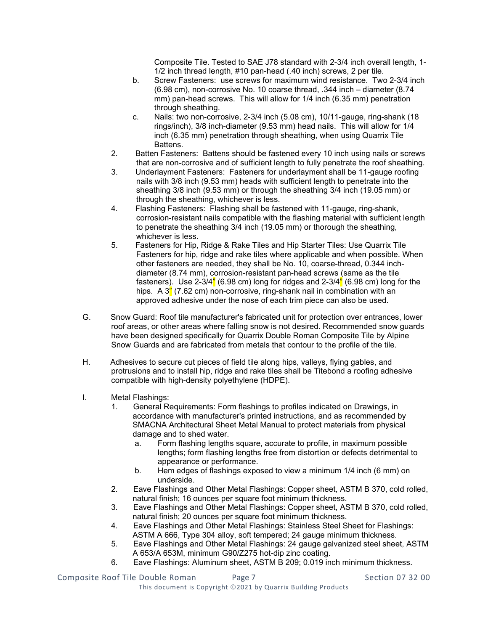Composite Tile. Tested to SAE J78 standard with 2-3/4 inch overall length, 1- 1/2 inch thread length, #10 pan-head (.40 inch) screws, 2 per tile.

- b. Screw Fasteners: use screws for maximum wind resistance. Two 2-3/4 inch (6.98 cm), non-corrosive No. 10 coarse thread, .344 inch – diameter (8.74 mm) pan-head screws. This will allow for 1/4 inch (6.35 mm) penetration through sheathing.
- c. Nails: two non-corrosive, 2-3/4 inch (5.08 cm), 10/11-gauge, ring-shank (18 rings/inch), 3/8 inch-diameter (9.53 mm) head nails. This will allow for 1/4 inch (6.35 mm) penetration through sheathing, when using Quarrix Tile Battens.
- 2. Batten Fasteners: Battens should be fastened every 10 inch using nails or screws that are non-corrosive and of sufficient length to fully penetrate the roof sheathing.
- 3. Underlayment Fasteners: Fasteners for underlayment shall be 11-gauge roofing nails with 3/8 inch (9.53 mm) heads with sufficient length to penetrate into the sheathing 3/8 inch (9.53 mm) or through the sheathing 3/4 inch (19.05 mm) or through the sheathing, whichever is less.
- 4. Flashing Fasteners: Flashing shall be fastened with 11-gauge, ring-shank, corrosion-resistant nails compatible with the flashing material with sufficient length to penetrate the sheathing 3/4 inch (19.05 mm) or thorough the sheathing, whichever is less.
- 5. Fasteners for Hip, Ridge & Rake Tiles and Hip Starter Tiles: Use Quarrix Tile Fasteners for hip, ridge and rake tiles where applicable and when possible. When other fasteners are needed, they shall be No. 10, coarse-thread, 0.344 inchdiameter (8.74 mm), corrosion-resistant pan-head screws (same as the tile fasteners). Use 2-3/4" (6.98 cm) long for ridges and 2-3/4" (6.98 cm) long for the hips. A  $3''$  (7.62 cm) non-corrosive, ring-shank nail in combination with an approved adhesive under the nose of each trim piece can also be used.
- G. Snow Guard: Roof tile manufacturer's fabricated unit for protection over entrances, lower roof areas, or other areas where falling snow is not desired. Recommended snow guards have been designed specifically for Quarrix Double Roman Composite Tile by Alpine Snow Guards and are fabricated from metals that contour to the profile of the tile.
- H. Adhesives to secure cut pieces of field tile along hips, valleys, flying gables, and protrusions and to install hip, ridge and rake tiles shall be Titebond a roofing adhesive compatible with high-density polyethylene (HDPE).
- I. Metal Flashings:
	- 1. General Requirements: Form flashings to profiles indicated on Drawings, in accordance with manufacturer's printed instructions, and as recommended by SMACNA Architectural Sheet Metal Manual to protect materials from physical damage and to shed water.
		- a. Form flashing lengths square, accurate to profile, in maximum possible lengths; form flashing lengths free from distortion or defects detrimental to appearance or performance.
		- b. Hem edges of flashings exposed to view a minimum 1/4 inch (6 mm) on underside.
	- 2. Eave Flashings and Other Metal Flashings: Copper sheet, ASTM B 370, cold rolled, natural finish; 16 ounces per square foot minimum thickness.
	- 3. Eave Flashings and Other Metal Flashings: Copper sheet, ASTM B 370, cold rolled, natural finish; 20 ounces per square foot minimum thickness.
	- 4. Eave Flashings and Other Metal Flashings: Stainless Steel Sheet for Flashings: ASTM A 666, Type 304 alloy, soft tempered; 24 gauge minimum thickness.
	- 5. Eave Flashings and Other Metal Flashings: 24 gauge galvanized steel sheet, ASTM A 653/A 653M, minimum G90/Z275 hot-dip zinc coating.
	- 6. Eave Flashings: Aluminum sheet, ASTM B 209; 0.019 inch minimum thickness.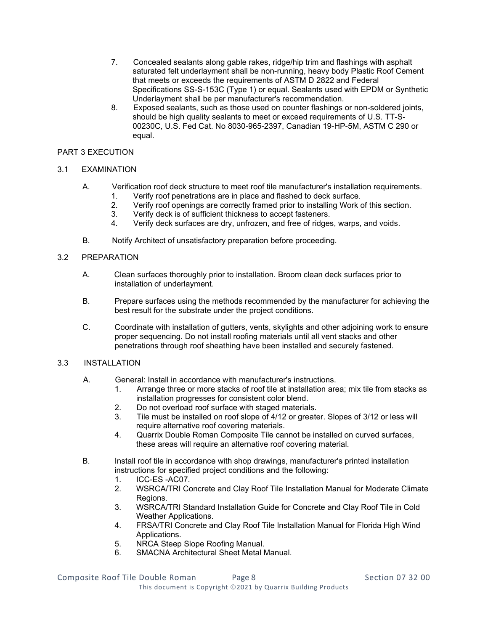- 7. Concealed sealants along gable rakes, ridge/hip trim and flashings with asphalt saturated felt underlayment shall be non-running, heavy body Plastic Roof Cement that meets or exceeds the requirements of ASTM D 2822 and Federal Specifications SS-S-153C (Type 1) or equal. Sealants used with EPDM or Synthetic Underlayment shall be per manufacturer's recommendation.
- 8. Exposed sealants, such as those used on counter flashings or non-soldered joints, should be high quality sealants to meet or exceed requirements of U.S. TT-S-00230C, U.S. Fed Cat. No 8030-965-2397, Canadian 19-HP-5M, ASTM C 290 or equal.

## PART 3 EXECUTION

## 3.1 EXAMINATION

- A. Verification roof deck structure to meet roof tile manufacturer's installation requirements.
	- 1. Verify roof penetrations are in place and flashed to deck surface.
	- 2. Verify roof openings are correctly framed prior to installing Work of this section.<br>3. Verify deck is of sufficient thickness to accept fasteners.
	- 3. Verify deck is of sufficient thickness to accept fasteners.
	- Verify deck surfaces are dry, unfrozen, and free of ridges, warps, and voids.
- B. Notify Architect of unsatisfactory preparation before proceeding.

#### 3.2 PREPARATION

- A. Clean surfaces thoroughly prior to installation. Broom clean deck surfaces prior to installation of underlayment.
- B. Prepare surfaces using the methods recommended by the manufacturer for achieving the best result for the substrate under the project conditions.
- C. Coordinate with installation of gutters, vents, skylights and other adjoining work to ensure proper sequencing. Do not install roofing materials until all vent stacks and other penetrations through roof sheathing have been installed and securely fastened.

#### 3.3 INSTALLATION

- A. General: Install in accordance with manufacturer's instructions.
	- 1. Arrange three or more stacks of roof tile at installation area; mix tile from stacks as installation progresses for consistent color blend.
	- 2. Do not overload roof surface with staged materials.
	- 3. Tile must be installed on roof slope of 4/12 or greater. Slopes of 3/12 or less will require alternative roof covering materials.
	- 4. Quarrix Double Roman Composite Tile cannot be installed on curved surfaces, these areas will require an alternative roof covering material.
- B. Install roof tile in accordance with shop drawings, manufacturer's printed installation instructions for specified project conditions and the following:
	- 1. ICC-ES -AC07.
	- 2. WSRCA/TRI Concrete and Clay Roof Tile Installation Manual for Moderate Climate Regions.
	- 3. WSRCA/TRI Standard Installation Guide for Concrete and Clay Roof Tile in Cold Weather Applications.
	- 4. FRSA/TRI Concrete and Clay Roof Tile Installation Manual for Florida High Wind Applications.
	- 5. NRCA Steep Slope Roofing Manual.
	- 6. SMACNA Architectural Sheet Metal Manual.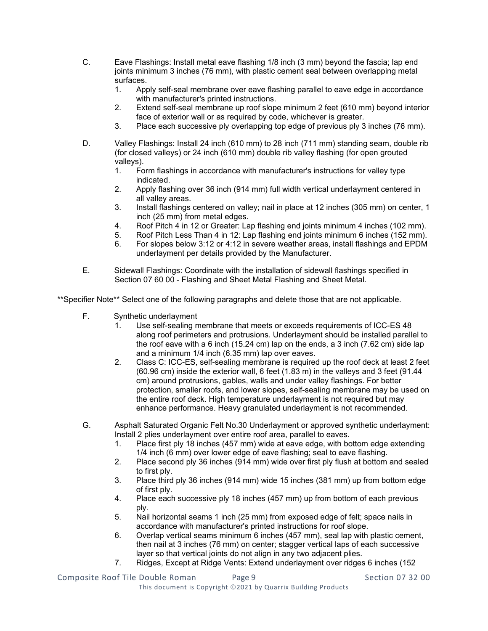- C. Eave Flashings: Install metal eave flashing 1/8 inch (3 mm) beyond the fascia; lap end joints minimum 3 inches (76 mm), with plastic cement seal between overlapping metal surfaces.<br>1. Apr
	- Apply self-seal membrane over eave flashing parallel to eave edge in accordance with manufacturer's printed instructions.
	- 2. Extend self-seal membrane up roof slope minimum 2 feet (610 mm) beyond interior face of exterior wall or as required by code, whichever is greater.
	- 3. Place each successive ply overlapping top edge of previous ply 3 inches (76 mm).
- D. Valley Flashings: Install 24 inch (610 mm) to 28 inch (711 mm) standing seam, double rib (for closed valleys) or 24 inch (610 mm) double rib valley flashing (for open grouted valleys).<br>1. Fo
	- 1. Form flashings in accordance with manufacturer's instructions for valley type indicated.
	- 2. Apply flashing over 36 inch (914 mm) full width vertical underlayment centered in all valley areas.
	- 3. Install flashings centered on valley; nail in place at 12 inches (305 mm) on center, 1 inch (25 mm) from metal edges.
	- 4. Roof Pitch 4 in 12 or Greater: Lap flashing end joints minimum 4 inches (102 mm).
	- 5. Roof Pitch Less Than 4 in 12: Lap flashing end joints minimum 6 inches (152 mm).
	- 6. For slopes below 3:12 or 4:12 in severe weather areas, install flashings and EPDM underlayment per details provided by the Manufacturer.
- E. Sidewall Flashings: Coordinate with the installation of sidewall flashings specified in Section 07 60 00 - Flashing and Sheet Metal Flashing and Sheet Metal.

\*\*Specifier Note\*\* Select one of the following paragraphs and delete those that are not applicable.

- F. Synthetic underlayment
	- 1. Use self-sealing membrane that meets or exceeds requirements of ICC-ES 48 along roof perimeters and protrusions. Underlayment should be installed parallel to the roof eave with a 6 inch (15.24 cm) lap on the ends, a 3 inch (7.62 cm) side lap and a minimum 1/4 inch (6.35 mm) lap over eaves.
	- 2. Class C: ICC-ES, self-sealing membrane is required up the roof deck at least 2 feet (60.96 cm) inside the exterior wall, 6 feet (1.83 m) in the valleys and 3 feet (91.44 cm) around protrusions, gables, walls and under valley flashings. For better protection, smaller roofs, and lower slopes, self-sealing membrane may be used on the entire roof deck. High temperature underlayment is not required but may enhance performance. Heavy granulated underlayment is not recommended.
- G. Asphalt Saturated Organic Felt No.30 Underlayment or approved synthetic underlayment: Install 2 plies underlayment over entire roof area, parallel to eaves.
	- 1. Place first ply 18 inches (457 mm) wide at eave edge, with bottom edge extending 1/4 inch (6 mm) over lower edge of eave flashing; seal to eave flashing.
	- 2. Place second ply 36 inches (914 mm) wide over first ply flush at bottom and sealed to first ply.
	- 3. Place third ply 36 inches (914 mm) wide 15 inches (381 mm) up from bottom edge of first ply.
	- 4. Place each successive ply 18 inches (457 mm) up from bottom of each previous ply.
	- 5. Nail horizontal seams 1 inch (25 mm) from exposed edge of felt; space nails in accordance with manufacturer's printed instructions for roof slope.
	- 6. Overlap vertical seams minimum 6 inches (457 mm), seal lap with plastic cement, then nail at 3 inches (76 mm) on center; stagger vertical laps of each successive layer so that vertical joints do not align in any two adjacent plies.
	- 7. Ridges, Except at Ridge Vents: Extend underlayment over ridges 6 inches (152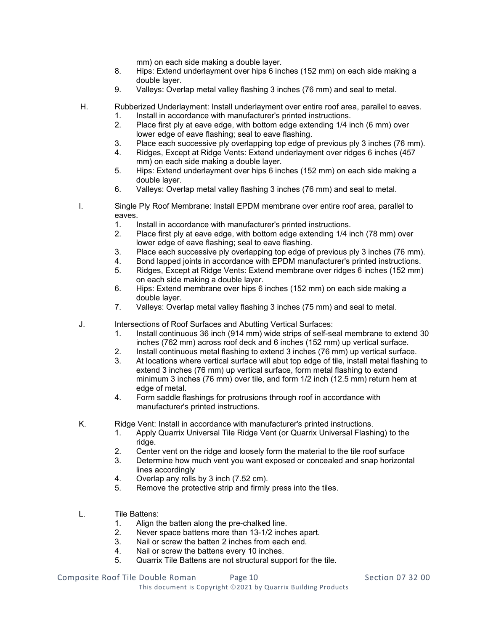mm) on each side making a double layer.

- 8. Hips: Extend underlayment over hips 6 inches (152 mm) on each side making a double layer.
- 9. Valleys: Overlap metal valley flashing 3 inches (76 mm) and seal to metal.
- H. Rubberized Underlayment: Install underlayment over entire roof area, parallel to eaves.
	- 1. Install in accordance with manufacturer's printed instructions.
	- 2. Place first ply at eave edge, with bottom edge extending 1/4 inch (6 mm) over lower edge of eave flashing; seal to eave flashing.
	- 3. Place each successive ply overlapping top edge of previous ply 3 inches (76 mm).
	- 4. Ridges, Except at Ridge Vents: Extend underlayment over ridges 6 inches (457 mm) on each side making a double layer.
	- 5. Hips: Extend underlayment over hips 6 inches (152 mm) on each side making a double layer.
	- 6. Valleys: Overlap metal valley flashing 3 inches (76 mm) and seal to metal.
- I. Single Ply Roof Membrane: Install EPDM membrane over entire roof area, parallel to eaves.
	- 1. Install in accordance with manufacturer's printed instructions.
	- 2. Place first ply at eave edge, with bottom edge extending 1/4 inch (78 mm) over lower edge of eave flashing; seal to eave flashing.
	- 3. Place each successive ply overlapping top edge of previous ply 3 inches (76 mm).
	- 4. Bond lapped joints in accordance with EPDM manufacturer's printed instructions.<br>5. Ridges. Except at Ridge Vents: Extend membrane over ridges 6 inches (152 mm)
	- 5. Ridges, Except at Ridge Vents: Extend membrane over ridges 6 inches (152 mm) on each side making a double layer.
	- 6. Hips: Extend membrane over hips 6 inches (152 mm) on each side making a double layer.
	- 7. Valleys: Overlap metal valley flashing 3 inches (75 mm) and seal to metal.
- J. Intersections of Roof Surfaces and Abutting Vertical Surfaces:
	- 1. Install continuous 36 inch (914 mm) wide strips of self-seal membrane to extend 30 inches (762 mm) across roof deck and 6 inches (152 mm) up vertical surface.
	- 2. Install continuous metal flashing to extend 3 inches (76 mm) up vertical surface.
	- 3. At locations where vertical surface will abut top edge of tile, install metal flashing to extend 3 inches (76 mm) up vertical surface, form metal flashing to extend minimum 3 inches (76 mm) over tile, and form 1/2 inch (12.5 mm) return hem at edge of metal.
	- 4. Form saddle flashings for protrusions through roof in accordance with manufacturer's printed instructions.
- K. Ridge Vent: Install in accordance with manufacturer's printed instructions.
	- 1. Apply Quarrix Universal Tile Ridge Vent (or Quarrix Universal Flashing) to the ridge.
	- 2. Center vent on the ridge and loosely form the material to the tile roof surface<br>3. Determine how much vent you want exposed or concealed and snap horizon
	- Determine how much vent you want exposed or concealed and snap horizontal lines accordingly
	- 4. Overlap any rolls by 3 inch (7.52 cm).
	- 5. Remove the protective strip and firmly press into the tiles.
- L. Tile Battens:
	- 1. Align the batten along the pre-chalked line.
	- 2. Never space battens more than 13-1/2 inches apart.<br>3. Nail or screw the batten 2 inches from each end.
	- Nail or screw the batten 2 inches from each end.
	- 4. Nail or screw the battens every 10 inches.
	- 5. Quarrix Tile Battens are not structural support for the tile.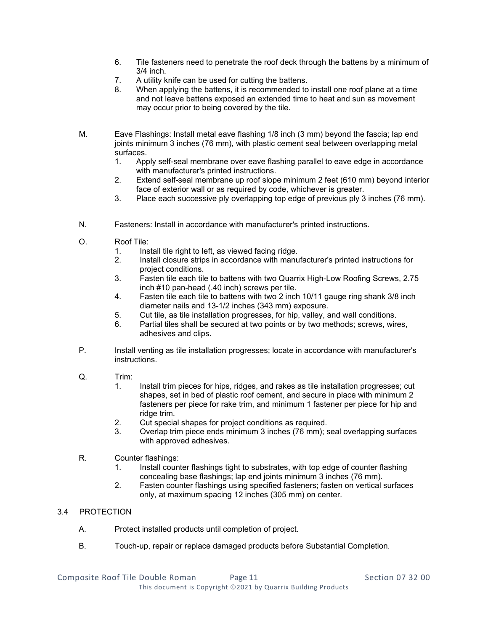- 6. Tile fasteners need to penetrate the roof deck through the battens by a minimum of 3/4 inch.
- 7. A utility knife can be used for cutting the battens.
- When applying the battens, it is recommended to install one roof plane at a time and not leave battens exposed an extended time to heat and sun as movement may occur prior to being covered by the tile.
- M. Eave Flashings: Install metal eave flashing 1/8 inch (3 mm) beyond the fascia; lap end joints minimum 3 inches (76 mm), with plastic cement seal between overlapping metal surfaces.<br>1. Apr
	- Apply self-seal membrane over eave flashing parallel to eave edge in accordance with manufacturer's printed instructions.
	- 2. Extend self-seal membrane up roof slope minimum 2 feet (610 mm) beyond interior face of exterior wall or as required by code, whichever is greater.
	- 3. Place each successive ply overlapping top edge of previous ply 3 inches (76 mm).
- N. Fasteners: Install in accordance with manufacturer's printed instructions.
- O. Roof Tile:
	- 1. Install tile right to left, as viewed facing ridge.
	- 2. Install closure strips in accordance with manufacturer's printed instructions for project conditions.
	- 3. Fasten tile each tile to battens with two Quarrix High-Low Roofing Screws, 2.75 inch #10 pan-head (.40 inch) screws per tile.
	- 4. Fasten tile each tile to battens with two 2 inch 10/11 gauge ring shank 3/8 inch diameter nails and 13-1/2 inches (343 mm) exposure.
	- 5. Cut tile, as tile installation progresses, for hip, valley, and wall conditions.
	- 6. Partial tiles shall be secured at two points or by two methods; screws, wires, adhesives and clips.
- P. Install venting as tile installation progresses; locate in accordance with manufacturer's instructions.
- Q. Trim:
	- 1. Install trim pieces for hips, ridges, and rakes as tile installation progresses; cut shapes, set in bed of plastic roof cement, and secure in place with minimum 2 fasteners per piece for rake trim, and minimum 1 fastener per piece for hip and ridge trim.
	- 2. Cut special shapes for project conditions as required.
	- 3. Overlap trim piece ends minimum 3 inches (76 mm); seal overlapping surfaces with approved adhesives.
- R. Counter flashings:
	- 1. Install counter flashings tight to substrates, with top edge of counter flashing concealing base flashings; lap end joints minimum 3 inches (76 mm).
	- 2. Fasten counter flashings using specified fasteners; fasten on vertical surfaces only, at maximum spacing 12 inches (305 mm) on center.

# 3.4 PROTECTION

- A. Protect installed products until completion of project.
- B. Touch-up, repair or replace damaged products before Substantial Completion.